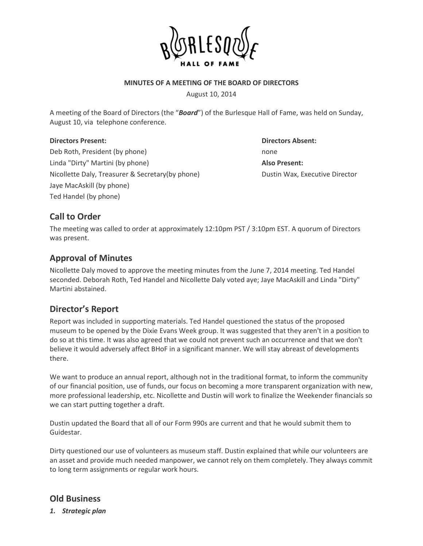

### **MINUTES OF A MEETING OF THE BOARD OF DIRECTORS**

August 10, 2014

A meeting of the Board of Directors (the "*Board*") of the Burlesque Hall of Fame, was held on Sunday, August 10, via telephone conference.

### **Directors Present: Directors Absent:**

Deb Roth, President (by phone) none Linda "Dirty" Martini (by phone) **Also Present:** Nicollette Daly, Treasurer & Secretary(by phone) Dustin Wax, Executive Director Jaye MacAskill (by phone) Ted Handel (by phone)

# **Call to Order**

The meeting was called to order at approximately 12:10pm PST / 3:10pm EST. A quorum of Directors was present.

# **Approval of Minutes**

Nicollette Daly moved to approve the meeting minutes from the June 7, 2014 meeting. Ted Handel seconded. Deborah Roth, Ted Handel and Nicollette Daly voted aye; Jaye MacAskill and Linda "Dirty" Martini abstained.

# **Director's Report**

Report was included in supporting materials. Ted Handel questioned the status of the proposed museum to be opened by the Dixie Evans Week group. It was suggested that they aren't in a position to do so at this time. It was also agreed that we could not prevent such an occurrence and that we don't believe it would adversely affect BHoF in a significant manner. We will stay abreast of developments there.

We want to produce an annual report, although not in the traditional format, to inform the community of our financial position, use of funds, our focus on becoming a more transparent organization with new, more professional leadership, etc. Nicollette and Dustin will work to finalize the Weekender financials so we can start putting together a draft.

Dustin updated the Board that all of our Form 990s are current and that he would submit them to Guidestar.

Dirty questioned our use of volunteers as museum staff. Dustin explained that while our volunteers are an asset and provide much needed manpower, we cannot rely on them completely. They always commit to long term assignments or regular work hours.

## **Old Business**

*1. Strategic plan*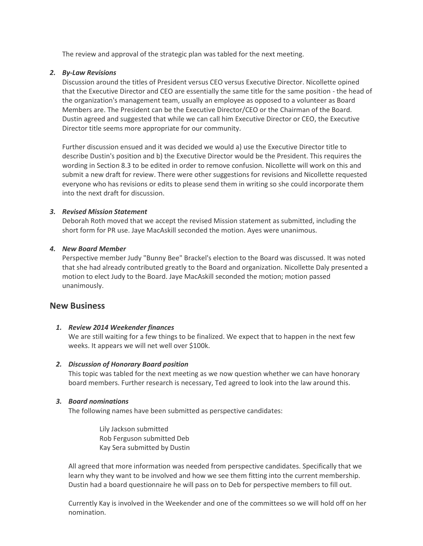The review and approval of the strategic plan was tabled for the next meeting.

### *2. By-Law Revisions*

Discussion around the titles of President versus CEO versus Executive Director. Nicollette opined that the Executive Director and CEO are essentially the same title for the same position - the head of the organization's management team, usually an employee as opposed to a volunteer as Board Members are. The President can be the Executive Director/CEO or the Chairman of the Board. Dustin agreed and suggested that while we can call him Executive Director or CEO, the Executive Director title seems more appropriate for our community.

Further discussion ensued and it was decided we would a) use the Executive Director title to describe Dustin's position and b) the Executive Director would be the President. This requires the wording in Section 8.3 to be edited in order to remove confusion. Nicollette will work on this and submit a new draft for review. There were other suggestions for revisions and Nicollette requested everyone who has revisions or edits to please send them in writing so she could incorporate them into the next draft for discussion.

### *3. Revised Mission Statement*

Deborah Roth moved that we accept the revised Mission statement as submitted, including the short form for PR use. Jaye MacAskill seconded the motion. Ayes were unanimous.

### *4. New Board Member*

Perspective member Judy "Bunny Bee" Brackel's election to the Board was discussed. It was noted that she had already contributed greatly to the Board and organization. Nicollette Daly presented a motion to elect Judy to the Board. Jaye MacAskill seconded the motion; motion passed unanimously.

### **New Business**

### *1. Review 2014 Weekender finances*

We are still waiting for a few things to be finalized. We expect that to happen in the next few weeks. It appears we will net well over \$100k.

### *2. Discussion of Honorary Board position*

This topic was tabled for the next meeting as we now question whether we can have honorary board members. Further research is necessary, Ted agreed to look into the law around this.

### *3. Board nominations*

The following names have been submitted as perspective candidates:

Lily Jackson submitted Rob Ferguson submitted Deb Kay Sera submitted by Dustin

All agreed that more information was needed from perspective candidates. Specifically that we learn why they want to be involved and how we see them fitting into the current membership. Dustin had a board questionnaire he will pass on to Deb for perspective members to fill out.

Currently Kay is involved in the Weekender and one of the committees so we will hold off on her nomination.